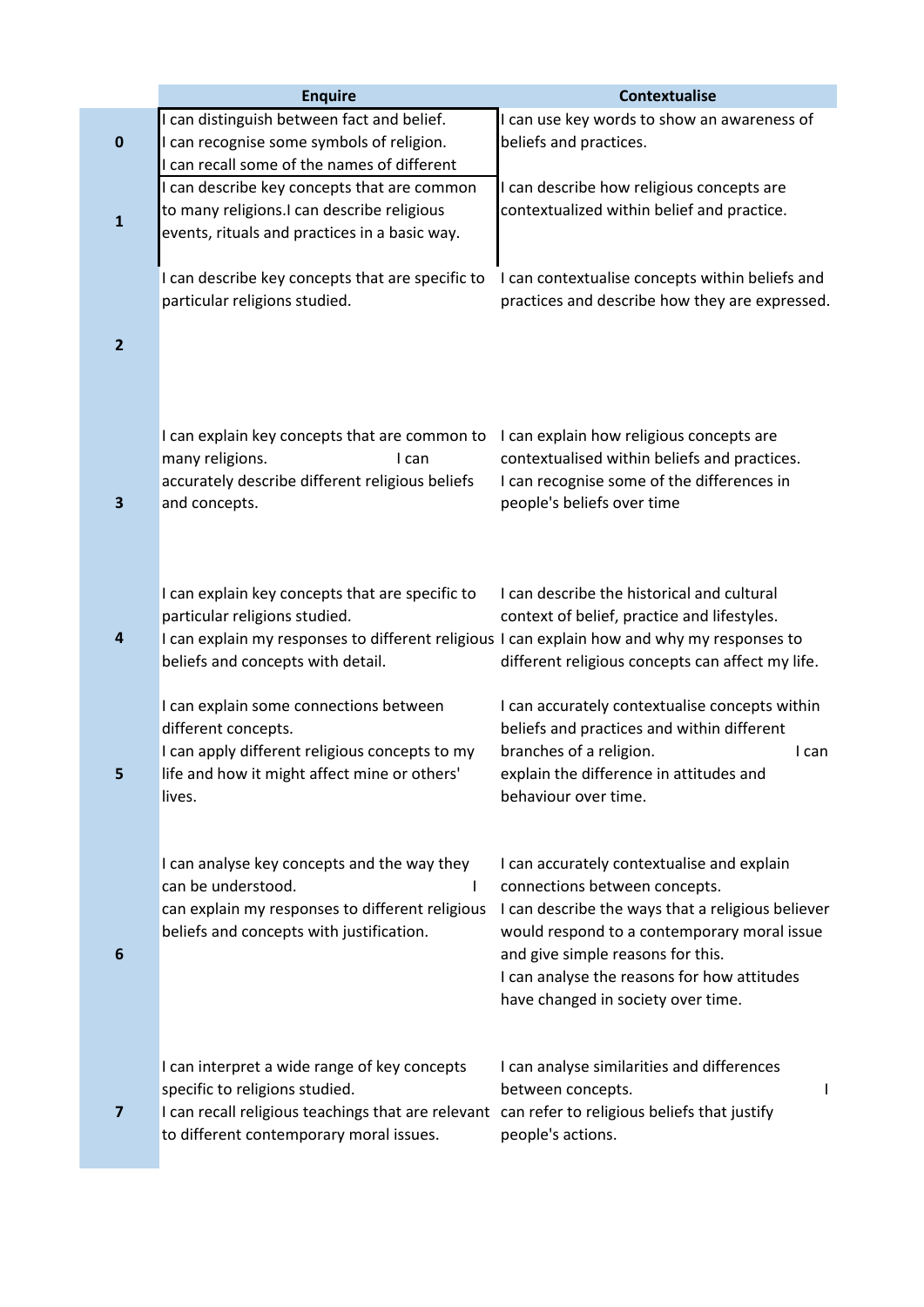|                | <b>Enquire</b>                                                                                 | <b>Contextualise</b>                                                        |
|----------------|------------------------------------------------------------------------------------------------|-----------------------------------------------------------------------------|
|                | I can distinguish between fact and belief.                                                     | I can use key words to show an awareness of                                 |
| $\pmb{0}$      | I can recognise some symbols of religion.                                                      | beliefs and practices.                                                      |
|                | I can recall some of the names of different                                                    |                                                                             |
|                | I can describe key concepts that are common                                                    | I can describe how religious concepts are                                   |
|                | to many religions.I can describe religious                                                     | contextualized within belief and practice.                                  |
| $\mathbf{1}$   | events, rituals and practices in a basic way.                                                  |                                                                             |
|                |                                                                                                |                                                                             |
|                | I can describe key concepts that are specific to                                               | I can contextualise concepts within beliefs and                             |
|                | particular religions studied.                                                                  | practices and describe how they are expressed.                              |
|                |                                                                                                |                                                                             |
| $\overline{2}$ |                                                                                                |                                                                             |
|                |                                                                                                |                                                                             |
|                |                                                                                                |                                                                             |
|                |                                                                                                |                                                                             |
|                | I can explain key concepts that are common to                                                  | I can explain how religious concepts are                                    |
|                | many religions.<br>I can                                                                       | contextualised within beliefs and practices.                                |
|                | accurately describe different religious beliefs                                                | I can recognise some of the differences in                                  |
| 3              | and concepts.                                                                                  | people's beliefs over time                                                  |
|                |                                                                                                |                                                                             |
|                |                                                                                                |                                                                             |
|                |                                                                                                |                                                                             |
|                | I can explain key concepts that are specific to                                                | I can describe the historical and cultural                                  |
|                | particular religions studied.                                                                  | context of belief, practice and lifestyles.                                 |
| 4              | I can explain my responses to different religious I can explain how and why my responses to    |                                                                             |
|                | beliefs and concepts with detail.                                                              | different religious concepts can affect my life.                            |
|                |                                                                                                |                                                                             |
|                | I can explain some connections between                                                         | I can accurately contextualise concepts within                              |
|                | different concepts.                                                                            | beliefs and practices and within different                                  |
|                | I can apply different religious concepts to my<br>life and how it might affect mine or others' | branches of a religion.<br>I can<br>explain the difference in attitudes and |
| 5              | lives.                                                                                         | behaviour over time.                                                        |
|                |                                                                                                |                                                                             |
|                |                                                                                                |                                                                             |
|                | I can analyse key concepts and the way they                                                    | I can accurately contextualise and explain                                  |
|                | can be understood.                                                                             | connections between concepts.                                               |
|                | can explain my responses to different religious                                                | I can describe the ways that a religious believer                           |
|                | beliefs and concepts with justification.                                                       | would respond to a contemporary moral issue                                 |
| 6              |                                                                                                | and give simple reasons for this.                                           |
|                |                                                                                                | I can analyse the reasons for how attitudes                                 |
|                |                                                                                                | have changed in society over time.                                          |
|                |                                                                                                |                                                                             |
|                |                                                                                                |                                                                             |
|                | I can interpret a wide range of key concepts                                                   | I can analyse similarities and differences                                  |
|                | specific to religions studied.                                                                 | between concepts.<br>L                                                      |
| 7              | I can recall religious teachings that are relevant                                             | can refer to religious beliefs that justify                                 |
|                | to different contemporary moral issues.                                                        | people's actions.                                                           |
|                |                                                                                                |                                                                             |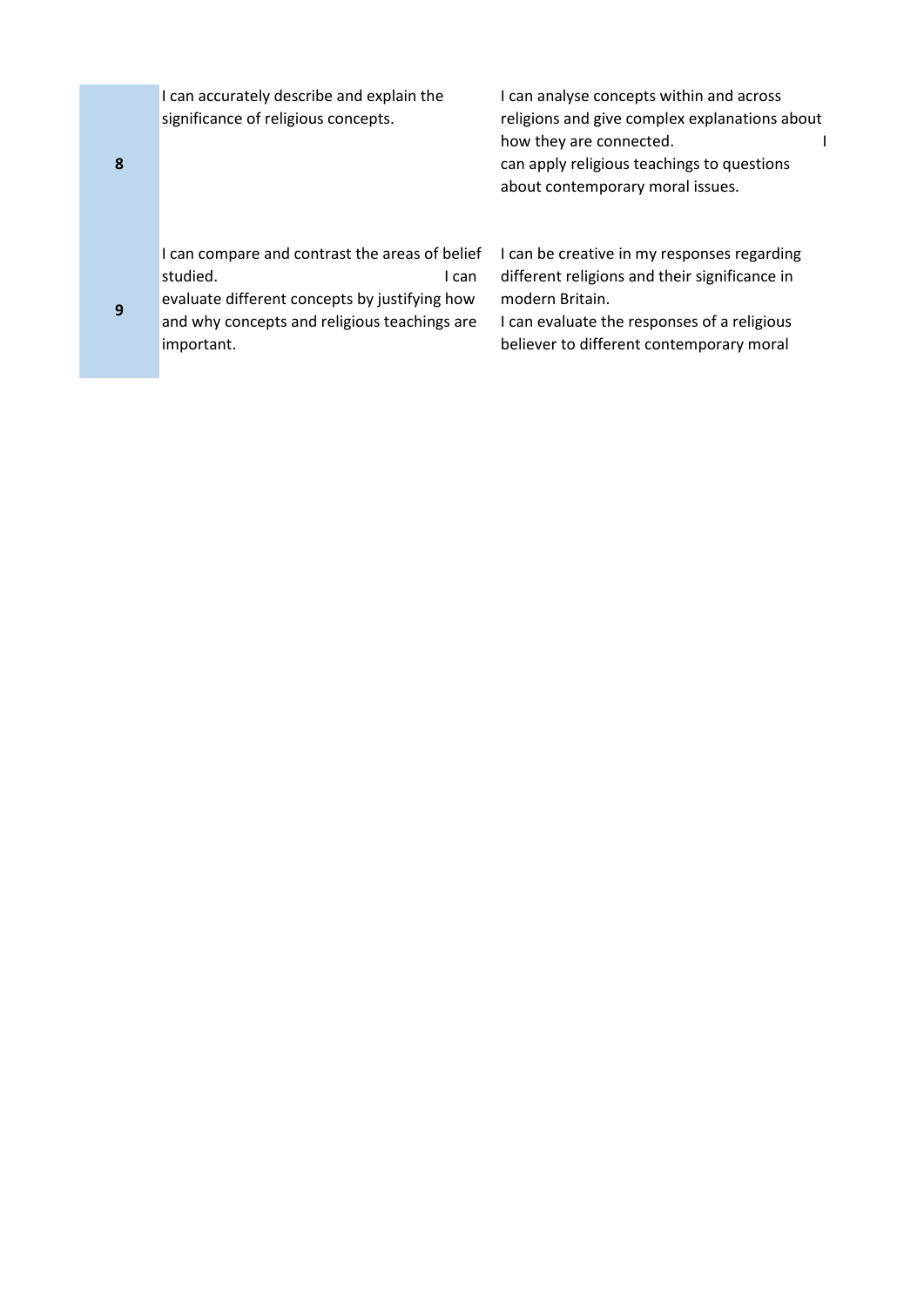I can accurately describe and explain the significance of religious concepts.

I can analyse concepts within and across religions and give complex explanations about how they are connected. can apply religious teachings to questions about contemporary moral issues.

I can compare and contrast the areas of belief studied. The canadian studied by the studies of the studies of the studies of the studies of the studies of the studies of the studies of the studies of the studies of the studies of the studies of the studies of the studi

evaluate different concepts by justifying how and why concepts and religious teachings are important.

I can be creative in my responses regarding different religions and their significance in modern Britain.

I can evaluate the responses of a religious believer to different contemporary moral

**8**

**9**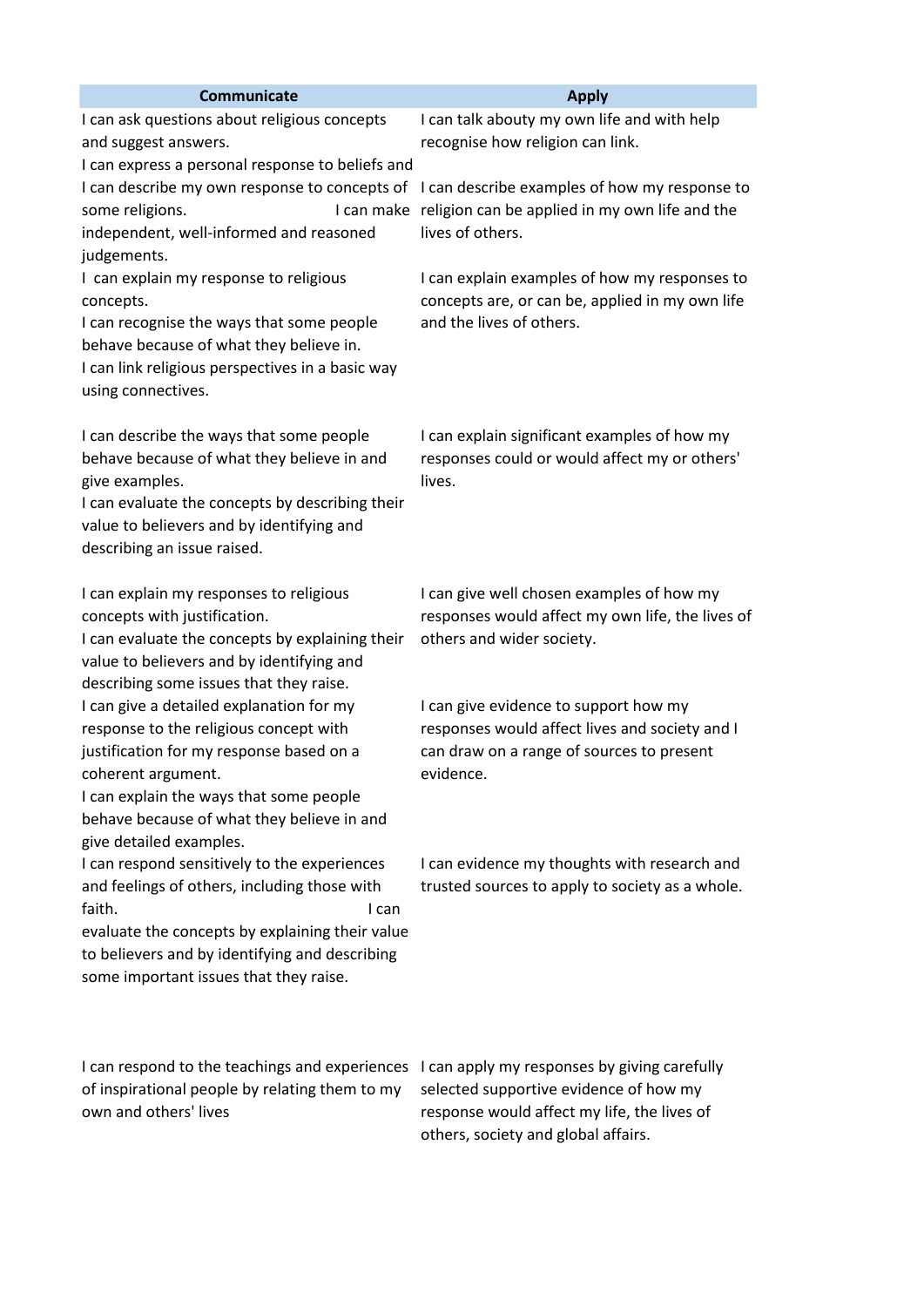| <b>Communicate</b>                                                                                                                                                                                                                                                                        | <b>Apply</b>                                                                                                                                      |
|-------------------------------------------------------------------------------------------------------------------------------------------------------------------------------------------------------------------------------------------------------------------------------------------|---------------------------------------------------------------------------------------------------------------------------------------------------|
| I can ask questions about religious concepts<br>and suggest answers.<br>I can express a personal response to beliefs and                                                                                                                                                                  | I can talk abouty my own life and with help<br>recognise how religion can link.                                                                   |
| I can describe my own response to concepts of<br>some religions.<br>independent, well-informed and reasoned<br>judgements.                                                                                                                                                                | I can describe examples of how my response to<br>I can make religion can be applied in my own life and the<br>lives of others.                    |
| I can explain my response to religious<br>concepts.<br>I can recognise the ways that some people<br>behave because of what they believe in.<br>I can link religious perspectives in a basic way<br>using connectives.                                                                     | I can explain examples of how my responses to<br>concepts are, or can be, applied in my own life<br>and the lives of others.                      |
| I can describe the ways that some people<br>behave because of what they believe in and<br>give examples.<br>I can evaluate the concepts by describing their<br>value to believers and by identifying and<br>describing an issue raised.                                                   | I can explain significant examples of how my<br>responses could or would affect my or others'<br>lives.                                           |
| I can explain my responses to religious<br>concepts with justification.<br>I can evaluate the concepts by explaining their<br>value to believers and by identifying and<br>describing some issues that they raise.                                                                        | I can give well chosen examples of how my<br>responses would affect my own life, the lives of<br>others and wider society.                        |
| I can give a detailed explanation for my<br>response to the religious concept with<br>justification for my response based on a<br>coherent argument.<br>I can explain the ways that some people<br>behave because of what they believe in and                                             | I can give evidence to support how my<br>responses would affect lives and society and I<br>can draw on a range of sources to present<br>evidence. |
| give detailed examples.<br>I can respond sensitively to the experiences<br>and feelings of others, including those with<br>faith.<br>I can<br>evaluate the concepts by explaining their value<br>to believers and by identifying and describing<br>some important issues that they raise. | I can evidence my thoughts with research and<br>trusted sources to apply to society as a whole.                                                   |
| I can respond to the teachings and experiences<br>of inspirational people by relating them to my<br>own and others' lives                                                                                                                                                                 | I can apply my responses by giving carefully<br>selected supportive evidence of how my<br>response would affect my life, the lives of             |

others, society and global affairs.